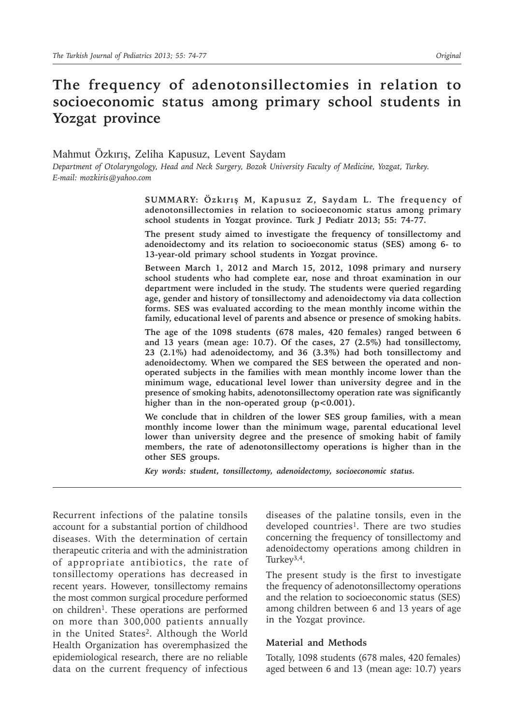# **The frequency of adenotonsillectomies in relation to socioeconomic status among primary school students in Yozgat province**

Mahmut Özkırış, Zeliha Kapusuz, Levent Saydam *Department of Otolaryngology, Head and Neck Surgery, Bozok University Faculty of Medicine, Yozgat, Turkey. E-mail: mozkiris@yahoo.com*

> **SUMMARY: Özkırış M, Kapusuz Z, Saydam L. The frequency of adenotonsillectomies in relation to socioeconomic status among primary school students in Yozgat province. Turk J Pediatr 2013; 55: 74-77.**

> **The present study aimed to investigate the frequency of tonsillectomy and adenoidectomy and its relation to socioeconomic status (SES) among 6- to 13-year-old primary school students in Yozgat province.**

> **Between March 1, 2012 and March 15, 2012, 1098 primary and nursery school students who had complete ear, nose and throat examination in our department were included in the study. The students were queried regarding age, gender and history of tonsillectomy and adenoidectomy via data collection forms. SES was evaluated according to the mean monthly income within the family, educational level of parents and absence or presence of smoking habits.**

> **The age of the 1098 students (678 males, 420 females) ranged between 6 and 13 years (mean age: 10.7). Of the cases, 27 (2.5%) had tonsillectomy, 23 (2.1%) had adenoidectomy, and 36 (3.3%) had both tonsillectomy and adenoidectomy. When we compared the SES between the operated and nonoperated subjects in the families with mean monthly income lower than the minimum wage, educational level lower than university degree and in the presence of smoking habits, adenotonsillectomy operation rate was significantly**  higher than in the non-operated group (p<0.001).

> **We conclude that in children of the lower SES group families, with a mean monthly income lower than the minimum wage, parental educational level lower than university degree and the presence of smoking habit of family members, the rate of adenotonsillectomy operations is higher than in the other SES groups.**

*Key words: student, tonsillectomy, adenoidectomy, socioeconomic status.*

Recurrent infections of the palatine tonsils account for a substantial portion of childhood diseases. With the determination of certain therapeutic criteria and with the administration of appropriate antibiotics, the rate of tonsillectomy operations has decreased in recent years. However, tonsillectomy remains the most common surgical procedure performed on children<sup>1</sup>. These operations are performed on more than 300,000 patients annually in the United States<sup>2</sup>. Although the World Health Organization has overemphasized the epidemiological research, there are no reliable data on the current frequency of infectious

diseases of the palatine tonsils, even in the developed countries<sup>1</sup>. There are two studies concerning the frequency of tonsillectomy and adenoidectomy operations among children in Turkey<sup>3,4</sup>.

The present study is the first to investigate the frequency of adenotonsillectomy operations and the relation to socioeconomic status (SES) among children between 6 and 13 years of age in the Yozgat province.

#### **Material and Methods**

Totally, 1098 students (678 males, 420 females) aged between 6 and 13 (mean age: 10.7) years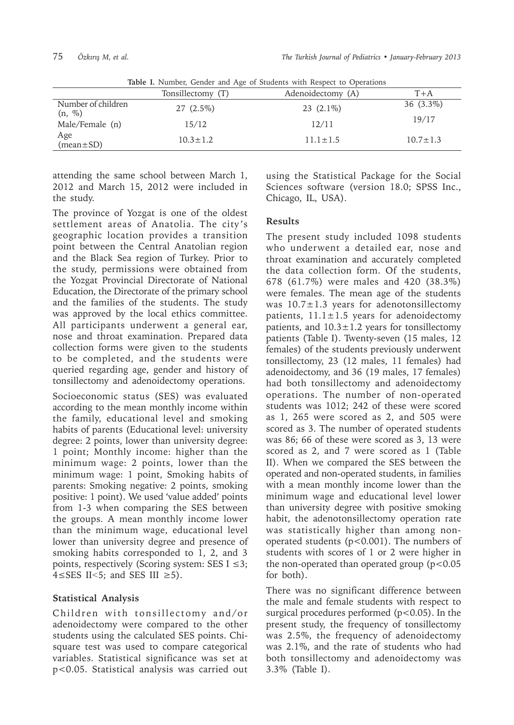|                                 | Tonsillectomy (T) | Adenoidectomy (A) | $T+A$          |
|---------------------------------|-------------------|-------------------|----------------|
| Number of children<br>$(n, \%)$ | $27(2.5\%)$       | $23(2.1\%)$       | 36 (3.3%)      |
| Male/Female (n)                 | 15/12             | 12/11             | 19/17          |
| Age<br>(mean±SD)                | $10.3 \pm 1.2$    | $11.1 \pm 1.5$    | $10.7 \pm 1.3$ |

**Table I.** Number, Gender and Age of Students with Respect to Operations

attending the same school between March 1, 2012 and March 15, 2012 were included in the study.

The province of Yozgat is one of the oldest settlement areas of Anatolia. The city 's geographic location provides a transition point between the Central Anatolian region and the Black Sea region of Turkey. Prior to the study, permissions were obtained from the Yozgat Provincial Directorate of National Education, the Directorate of the primary school and the families of the students. The study was approved by the local ethics committee. All participants underwent a general ear, nose and throat examination. Prepared data collection forms were given to the students to be completed, and the students were queried regarding age, gender and history of tonsillectomy and adenoidectomy operations.

Socioeconomic status (SES) was evaluated according to the mean monthly income within the family, educational level and smoking habits of parents (Educational level: university degree: 2 points, lower than university degree: 1 point; Monthly income: higher than the minimum wage: 2 points, lower than the minimum wage: 1 point, Smoking habits of parents: Smoking negative: 2 points, smoking positive: 1 point). We used 'value added' points from 1-3 when comparing the SES between the groups. A mean monthly income lower than the minimum wage, educational level lower than university degree and presence of smoking habits corresponded to 1, 2, and 3 points, respectively (Scoring system: SES  $I \leq 3$ ; 4≤SES II*˂*5; and SES III ≥5).

## **Statistical Analysis**

Children with tonsillectomy and/or adenoidectomy were compared to the other students using the calculated SES points. Chisquare test was used to compare categorical variables. Statistical significance was set at p<0.05. Statistical analysis was carried out

using the Statistical Package for the Social Sciences software (version 18.0; SPSS Inc., Chicago, IL, USA).

## **Results**

The present study included 1098 students who underwent a detailed ear, nose and throat examination and accurately completed the data collection form. Of the students, 678 (61.7%) were males and 420 (38.3%) were females. The mean age of the students was  $10.7 \pm 1.3$  years for adenotonsillectomy patients,  $11.1 \pm 1.5$  years for adenoidectomy patients, and  $10.3 \pm 1.2$  years for tonsillectomy patients (Table I). Twenty-seven (15 males, 12 females) of the students previously underwent tonsillectomy, 23 (12 males, 11 females) had adenoidectomy, and 36 (19 males, 17 females) had both tonsillectomy and adenoidectomy operations. The number of non-operated students was 1012; 242 of these were scored as 1, 265 were scored as 2, and 505 were scored as 3. The number of operated students was 86; 66 of these were scored as 3, 13 were scored as 2, and 7 were scored as 1 (Table II). When we compared the SES between the operated and non-operated students, in families with a mean monthly income lower than the minimum wage and educational level lower than university degree with positive smoking habit, the adenotonsillectomy operation rate was statistically higher than among nonoperated students ( $p$ <0.001). The numbers of students with scores of 1 or 2 were higher in the non-operated than operated group  $(p<0.05$ for both).

There was no significant difference between the male and female students with respect to surgical procedures performed  $(p<0.05)$ . In the present study, the frequency of tonsillectomy was 2.5%, the frequency of adenoidectomy was 2.1%, and the rate of students who had both tonsillectomy and adenoidectomy was 3.3% (Table I).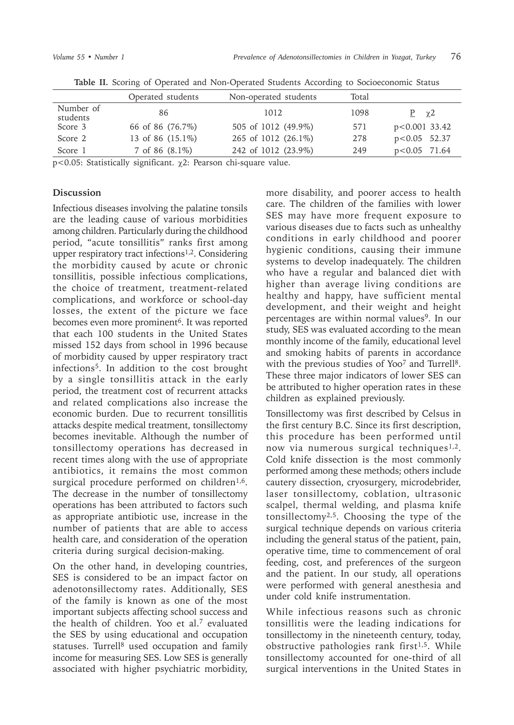|                       | Operated students | Non-operated students | Total |                 |  |
|-----------------------|-------------------|-----------------------|-------|-----------------|--|
| Number of<br>students | 86                | 1012                  | 1098  | $P \gamma 2$    |  |
| Score 3               | 66 of 86 (76.7%)  | 505 of 1012 (49.9%)   | 571   | $p<0.001$ 33.42 |  |
| Score 2               | 13 of 86 (15.1%)  | 265 of 1012 (26.1%)   | 278   | $p<0.05$ 52.37  |  |
| Score 1               | 7 of 86 $(8.1\%)$ | 242 of 1012 (23.9%)   | 249   | $p<0.05$ 71.64  |  |
| $\sim$ $\sim$ $\sim$  |                   |                       |       |                 |  |

**Table II.** Scoring of Operated and Non-Operated Students According to Socioeconomic Status

p<0.05: Statistically significant. χ2: Pearson chi-square value.

#### **Discussion**

Infectious diseases involving the palatine tonsils are the leading cause of various morbidities among children. Particularly during the childhood period, "acute tonsillitis" ranks first among upper respiratory tract infections<sup>1,2</sup>. Considering the morbidity caused by acute or chronic tonsillitis, possible infectious complications, the choice of treatment, treatment-related complications, and workforce or school-day losses, the extent of the picture we face becomes even more prominent<sup>6</sup>. It was reported that each 100 students in the United States missed 152 days from school in 1996 because of morbidity caused by upper respiratory tract infections5. In addition to the cost brought by a single tonsillitis attack in the early period, the treatment cost of recurrent attacks and related complications also increase the economic burden. Due to recurrent tonsillitis attacks despite medical treatment, tonsillectomy becomes inevitable. Although the number of tonsillectomy operations has decreased in recent times along with the use of appropriate antibiotics, it remains the most common surgical procedure performed on children<sup>1,6</sup>. The decrease in the number of tonsillectomy operations has been attributed to factors such as appropriate antibiotic use, increase in the number of patients that are able to access health care, and consideration of the operation criteria during surgical decision-making.

On the other hand, in developing countries, SES is considered to be an impact factor on adenotonsillectomy rates. Additionally, SES of the family is known as one of the most important subjects affecting school success and the health of children. Yoo et al.<sup>7</sup> evaluated the SES by using educational and occupation statuses. Turrell<sup>8</sup> used occupation and family income for measuring SES. Low SES is generally associated with higher psychiatric morbidity,

more disability, and poorer access to health care. The children of the families with lower SES may have more frequent exposure to various diseases due to facts such as unhealthy conditions in early childhood and poorer hygienic conditions, causing their immune systems to develop inadequately. The children who have a regular and balanced diet with higher than average living conditions are healthy and happy, have sufficient mental development, and their weight and height percentages are within normal values<sup>9</sup>. In our study, SES was evaluated according to the mean monthly income of the family, educational level and smoking habits of parents in accordance with the previous studies of Yoo<sup>7</sup> and Turrell<sup>8</sup>. These three major indicators of lower SES can be attributed to higher operation rates in these children as explained previously.

Tonsillectomy was first described by Celsus in the first century B.C. Since its first description, this procedure has been performed until now via numerous surgical techniques<sup>1,2</sup>. Cold knife dissection is the most commonly performed among these methods; others include cautery dissection, cryosurgery, microdebrider, laser tonsillectomy, coblation, ultrasonic scalpel, thermal welding, and plasma knife tonsillectomy<sup>2,5</sup>. Choosing the type of the surgical technique depends on various criteria including the general status of the patient, pain, operative time, time to commencement of oral feeding, cost, and preferences of the surgeon and the patient. In our study, all operations were performed with general anesthesia and under cold knife instrumentation.

While infectious reasons such as chronic tonsillitis were the leading indications for tonsillectomy in the nineteenth century, today, obstructive pathologies rank first<sup>1,5</sup>. While tonsillectomy accounted for one-third of all surgical interventions in the United States in